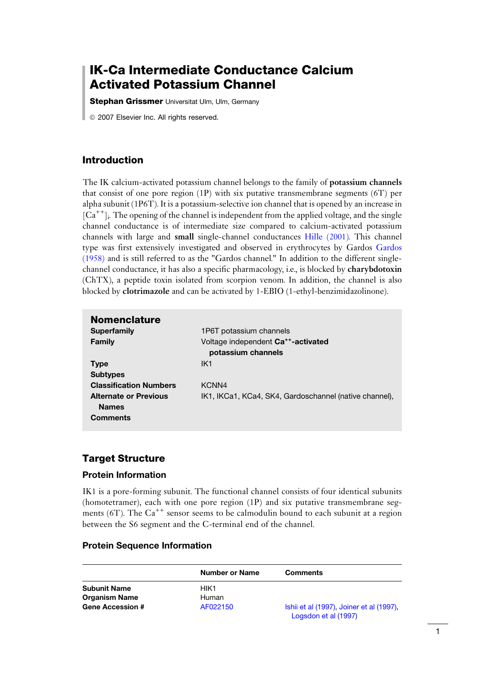# IK-Ca Intermediate Conductance Calcium Activated Potassium Channel

**Stephan Grissmer** Universitat Ulm, Ulm, Germany

*ã* 2007 Elsevier Inc. All rights reserved.

## Introduction

The IK calcium-activated potassium channel belongs to the family of potassium channels that consist of one pore region (1P) with six putative transmembrane segments (6T) per alpha subunit (1P6T). It is a potassium-selective ion channel that is opened by an increase in  $[Ca^{++}]$ . The opening of the channel is independent from the applied voltage, and the single channel conductance is of intermediate size compared to calcium-activated potassium channels with large and small single-channel conductances [Hille \(2001\).](#page-8-0) This channel type was first extensively investigated and observed in erythrocytes by Gardos [Gardos](#page-7-0) [\(1958\)](#page-7-0) and is still referred to as the "Gardos channel." In addition to the different singlechannel conductance, it has also a specific pharmacology, i.e., is blocked by charybdotoxin (ChTX), a peptide toxin isolated from scorpion venom. In addition, the channel is also blocked by clotrimazole and can be activated by 1-EBIO (1-ethyl-benzimidazolinone).

| <b>Nomenclature</b>           |                                                        |
|-------------------------------|--------------------------------------------------------|
| <b>Superfamily</b>            | 1P6T potassium channels                                |
| Family                        | Voltage independent Ca <sup>++</sup> -activated        |
|                               | potassium channels                                     |
| <b>Type</b>                   | IK <sub>1</sub>                                        |
| <b>Subtypes</b>               |                                                        |
| <b>Classification Numbers</b> | KCNN4                                                  |
| <b>Alternate or Previous</b>  | IK1, IKCa1, KCa4, SK4, Gardoschannel (native channel), |
| <b>Names</b>                  |                                                        |
| <b>Comments</b>               |                                                        |
|                               |                                                        |

## Target Structure

### Protein Information

IK1 is a pore-forming subunit. The functional channel consists of four identical subunits (homotetramer), each with one pore region (1P) and six putative transmembrane segments (6T). The  $Ca^{++}$  sensor seems to be calmodulin bound to each subunit at a region between the S6 segment and the C-terminal end of the channel.

### Protein Sequence Information

|                         | Number or Name | <b>Comments</b>                                                  |
|-------------------------|----------------|------------------------------------------------------------------|
| <b>Subunit Name</b>     | HIK1           |                                                                  |
| <b>Organism Name</b>    | Human          |                                                                  |
| <b>Gene Accession #</b> | AF022150       | Ishii et al (1997). Joiner et al (1997).<br>Logsdon et al (1997) |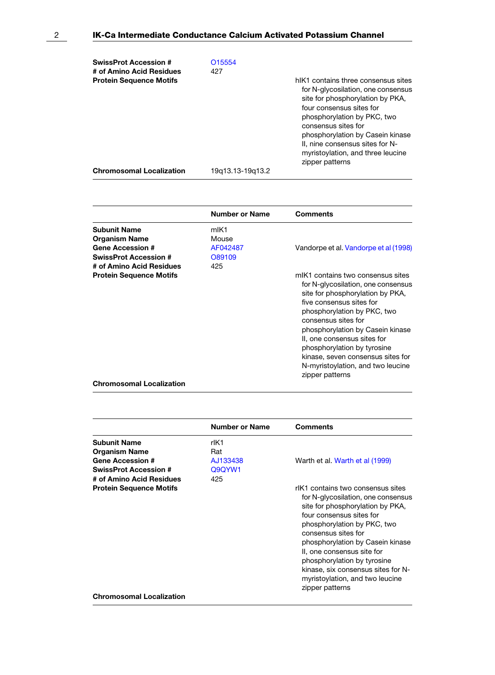| O <sub>15554</sub> |                                                                                                                                                                                                                                                                                                                                |
|--------------------|--------------------------------------------------------------------------------------------------------------------------------------------------------------------------------------------------------------------------------------------------------------------------------------------------------------------------------|
| 427                |                                                                                                                                                                                                                                                                                                                                |
|                    | hIK1 contains three consensus sites<br>for N-glycosilation, one consensus<br>site for phosphorylation by PKA,<br>four consensus sites for<br>phosphorylation by PKC, two<br>consensus sites for<br>phosphorylation by Casein kinase<br>II, nine consensus sites for N-<br>myristoylation, and three leucine<br>zipper patterns |
| 19q13.13-19q13.2   |                                                                                                                                                                                                                                                                                                                                |
|                    |                                                                                                                                                                                                                                                                                                                                |

|                                                                        | <b>Number or Name</b>     | <b>Comments</b>                                                                                                                                                                                                                                                                                                                                                                              |
|------------------------------------------------------------------------|---------------------------|----------------------------------------------------------------------------------------------------------------------------------------------------------------------------------------------------------------------------------------------------------------------------------------------------------------------------------------------------------------------------------------------|
| <b>Subunit Name</b><br><b>Organism Name</b><br><b>Gene Accession #</b> | mIK1<br>Mouse<br>AF042487 | Vandorpe et al. Vandorpe et al (1998)                                                                                                                                                                                                                                                                                                                                                        |
| <b>SwissProt Accession #</b><br># of Amino Acid Residues               | O89109<br>425             |                                                                                                                                                                                                                                                                                                                                                                                              |
| <b>Protein Sequence Motifs</b>                                         |                           | mIK1 contains two consensus sites<br>for N-glycosilation, one consensus<br>site for phosphorylation by PKA,<br>five consensus sites for<br>phosphorylation by PKC, two<br>consensus sites for<br>phosphorylation by Casein kinase<br>II, one consensus sites for<br>phosphorylation by tyrosine<br>kinase, seven consensus sites for<br>N-myristoylation, and two leucine<br>zipper patterns |
| <b>Chromosomal Localization</b>                                        |                           |                                                                                                                                                                                                                                                                                                                                                                                              |

|                                                                        | <b>Number or Name</b>   | Comments                                                                                                                                                                                                                                                                                                                                                                                   |
|------------------------------------------------------------------------|-------------------------|--------------------------------------------------------------------------------------------------------------------------------------------------------------------------------------------------------------------------------------------------------------------------------------------------------------------------------------------------------------------------------------------|
| <b>Subunit Name</b><br><b>Organism Name</b><br><b>Gene Accession #</b> | rlK1<br>Rat<br>AJ133438 | Warth et al. Warth et al (1999)                                                                                                                                                                                                                                                                                                                                                            |
| <b>SwissProt Accession #</b><br># of Amino Acid Residues               | Q9QYW1<br>425           |                                                                                                                                                                                                                                                                                                                                                                                            |
| <b>Protein Sequence Motifs</b>                                         |                         | rlK1 contains two consensus sites<br>for N-glycosilation, one consensus<br>site for phosphorylation by PKA,<br>four consensus sites for<br>phosphorylation by PKC, two<br>consensus sites for<br>phosphorylation by Casein kinase<br>II, one consensus site for<br>phosphorylation by tyrosine<br>kinase, six consensus sites for N-<br>myristoylation, and two leucine<br>zipper patterns |
| <b>Chromosomal Localization</b>                                        |                         |                                                                                                                                                                                                                                                                                                                                                                                            |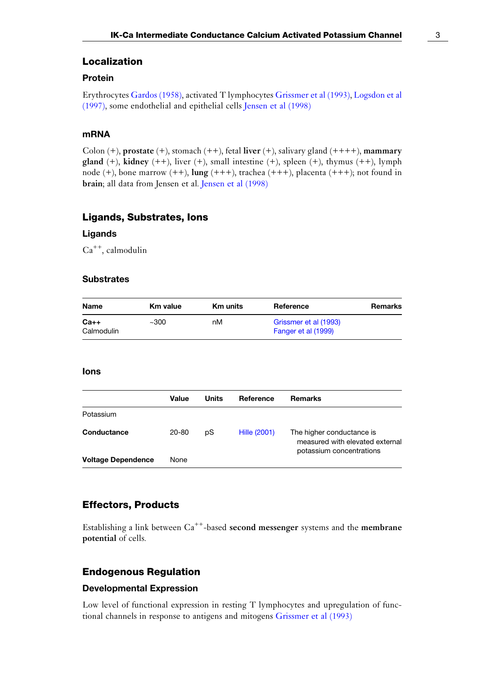#### Localization

### Protein

Erythrocytes [Gardos \(1958\)](#page-7-0), activated T lymphocytes [Grissmer et al \(1993\)](#page-7-0), [Logsdon et al](#page-7-0) [\(1997\),](#page-7-0) some endothelial and epithelial cells [Jensen et al \(1998\)](#page-7-0)

### mRNA

Colon  $(+)$ , prostate  $(+)$ , stomach  $(++)$ , fetal liver  $(+)$ , salivary gland  $(++++)$ , mammary gland (+), kidney (++), liver (+), small intestine (+), spleen (+), thymus (++), lymph node  $(+)$ , bone marrow  $(++)$ ,  $\lim_{x \to 0} (++)$ , trachea  $(++)$ , placenta  $(++)$ ; not found in brain; all data from Jensen et al. [Jensen et al \(1998\)](#page-7-0)

#### Ligands, Substrates, Ions

#### Ligands

Ca++, calmodulin

#### **Substrates**

| <b>Name</b> | Km value | <b>Km</b> units | Reference             | Remarks |
|-------------|----------|-----------------|-----------------------|---------|
| $Ca++$      | ~100     | nМ              | Grissmer et al (1993) |         |
| Calmodulin  |          |                 | Fanger et al (1999)   |         |

#### Ions

|                           | Value | Units | Reference    | <b>Remarks</b>                                                                           |
|---------------------------|-------|-------|--------------|------------------------------------------------------------------------------------------|
| Potassium                 |       |       |              |                                                                                          |
| Conductance               | 20-80 | pS    | Hille (2001) | The higher conductance is<br>measured with elevated external<br>potassium concentrations |
| <b>Voltage Dependence</b> | None  |       |              |                                                                                          |

### Effectors, Products

Establishing a link between  $Ca^{++}$ -based second messenger systems and the membrane potential of cells.

### Endogenous Regulation

#### Developmental Expression

Low level of functional expression in resting T lymphocytes and upregulation of functional channels in response to antigens and mitogens [Grissmer et al \(1993\)](#page-7-0)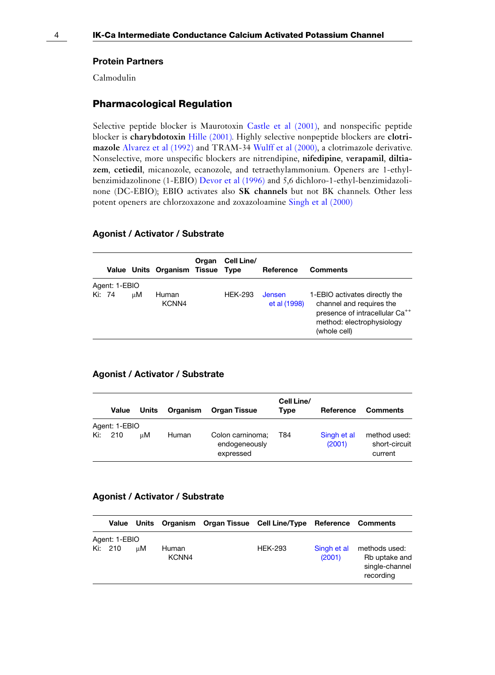#### Protein Partners

Calmodulin

#### Pharmacological Regulation

Selective peptide blocker is Maurotoxin [Castle et al \(2001\)](#page-7-0), and nonspecific peptide blocker is charybdotoxin [Hille \(2001\)](#page-8-0). Highly selective nonpeptide blockers are clotrimazole [Alvarez et al \(1992\)](#page-7-0) and TRAM-34 [Wulff et al \(2000\),](#page-8-0) a clotrimazole derivative. Nonselective, more unspecific blockers are nitrendipine, nifedipine, verapamil, diltiazem, cetiedil, micanozole, ecanozole, and tetraethylammonium. Openers are 1-ethylbenzimidazolinone (1-EBIO) [Devor et al \(1996\)](#page-7-0) and 5,6 dichloro-1-ethyl-benzimidazolinone (DC-EBIO); EBIO activates also SK channels but not BK channels. Other less potent openers are chlorzoxazone and zoxazoloamine [Singh et al \(2000\)](#page-7-0)

#### Agonist / Activator / Substrate

|        |               |    | Value Units Organism Tissue Type | Organ | Cell Line/     | Reference                     | <b>Comments</b>                                                                                                                                      |
|--------|---------------|----|----------------------------------|-------|----------------|-------------------------------|------------------------------------------------------------------------------------------------------------------------------------------------------|
|        | Agent: 1-EBIO |    |                                  |       |                |                               |                                                                                                                                                      |
| Ki: 74 |               | цM | Human<br>KCNN4                   |       | <b>HEK-293</b> | <b>Jensen</b><br>et al (1998) | 1-EBIO activates directly the<br>channel and requires the<br>presence of intracellular Ca <sup>++</sup><br>method: electrophysiology<br>(whole cell) |

#### Agonist / Activator / Substrate

|     | Value         | Units | Organism | <b>Organ Tissue</b>                            | Cell Line/<br><b>Type</b> | Reference             | <b>Comments</b>                          |
|-----|---------------|-------|----------|------------------------------------------------|---------------------------|-----------------------|------------------------------------------|
|     | Agent: 1-EBIO |       |          |                                                |                           |                       |                                          |
| Ki: | 210           | шM    | Human    | Colon carninoma;<br>endogeneously<br>expressed | T84                       | Singh et al<br>(2001) | method used:<br>short-circuit<br>current |

#### Agonist / Activator / Substrate

|                          |    |                | Value Units Organism Organ Tissue Cell Line/Type Reference Comments |                       |                                                               |
|--------------------------|----|----------------|---------------------------------------------------------------------|-----------------------|---------------------------------------------------------------|
| Agent: 1-EBIO<br>Ki: 210 | цM | Human<br>KCNN4 | <b>HEK-293</b>                                                      | Singh et al<br>(2001) | methods used:<br>Rb uptake and<br>single-channel<br>recording |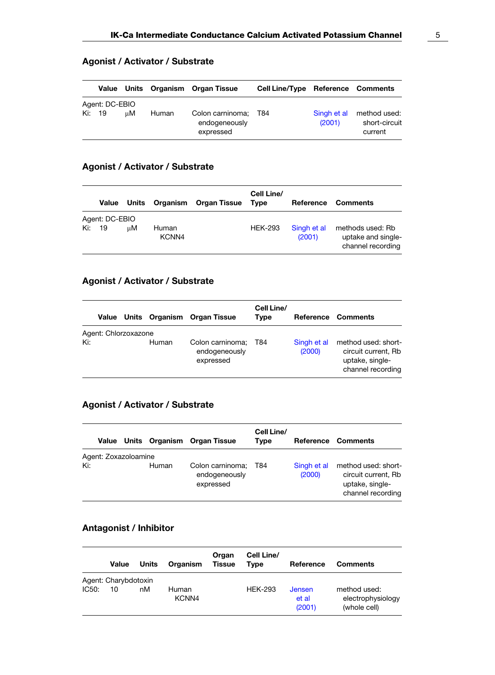|     |                        |    |       | Value Units Organism Organ Tissue                  | <b>Cell Line/Type Reference Comments</b> |                       |                                          |
|-----|------------------------|----|-------|----------------------------------------------------|------------------------------------------|-----------------------|------------------------------------------|
| Ki: | Agent: DC-EBIO<br>- 19 | uМ | Human | Colon carninoma; T84<br>endogeneously<br>expressed |                                          | Singh et al<br>(2001) | method used:<br>short-circuit<br>current |

### Agonist / Activator / Substrate

## Agonist / Activator / Substrate

|     | Value                | Units | Organism       | <b>Organ Tissue</b> | Cell Line/<br><b>Type</b> | Reference             | Comments                                                    |
|-----|----------------------|-------|----------------|---------------------|---------------------------|-----------------------|-------------------------------------------------------------|
| Ki: | Agent: DC-EBIO<br>19 | uМ    | Human<br>KCNN4 |                     | <b>HEK-293</b>            | Singh et al<br>(2001) | methods used: Rb<br>uptake and single-<br>channel recording |

## Agonist / Activator / Substrate

|                             |       | Value Units Organism Organ Tissue              | Cell Line/<br>Type |                       | Reference Comments                                                                 |
|-----------------------------|-------|------------------------------------------------|--------------------|-----------------------|------------------------------------------------------------------------------------|
| Agent: Chlorzoxazone<br>Ki: | Human | Colon carninoma;<br>endogeneously<br>expressed | T84                | Singh et al<br>(2000) | method used: short-<br>circuit current, Rb<br>uptake, single-<br>channel recording |

## Agonist / Activator / Substrate

|                             |       | Value Units Organism Organ Tissue              | Cell Line/<br>Type |                       | Reference Comments                                                                 |
|-----------------------------|-------|------------------------------------------------|--------------------|-----------------------|------------------------------------------------------------------------------------|
| Agent: Zoxazoloamine<br>Ki: | Human | Colon carninoma;<br>endogeneously<br>expressed | T84                | Singh et al<br>(2000) | method used: short-<br>circuit current, Rb<br>uptake, single-<br>channel recording |

## Antagonist / Inhibitor

|       | Value                | Units | Organism       | Organ<br><b>Tissue</b> | Cell Line/<br>Tvpe | Reference                 | <b>Comments</b>                                   |
|-------|----------------------|-------|----------------|------------------------|--------------------|---------------------------|---------------------------------------------------|
|       | Agent: Charybdotoxin |       |                |                        |                    |                           |                                                   |
| IC50: | 10                   | пM    | Human<br>KCNN4 |                        | <b>HEK-293</b>     | Jensen<br>et al<br>(2001) | method used:<br>electrophysiology<br>(whole cell) |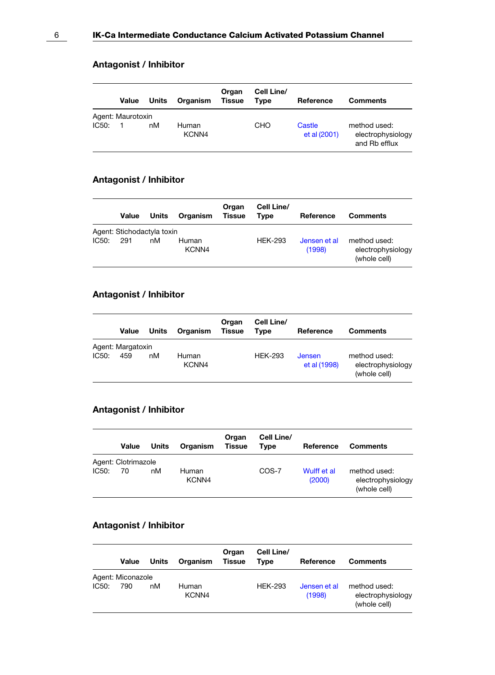## Antagonist / Inhibitor

|       | Value             | Units | Organism       | Organ<br><b>Tissue</b> | Cell Line/<br>Type | Reference              | <b>Comments</b>                                    |
|-------|-------------------|-------|----------------|------------------------|--------------------|------------------------|----------------------------------------------------|
|       | Agent: Maurotoxin |       |                |                        |                    |                        |                                                    |
| IC50: |                   | nM    | Human<br>KCNN4 |                        | CHO                | Castle<br>et al (2001) | method used:<br>electrophysiology<br>and Rb efflux |

## Antagonist / Inhibitor

|       | Value                      | Units | Organism       | Organ<br><b>Tissue</b> | Cell Line/<br>Tvpe | Reference              | <b>Comments</b>                                   |
|-------|----------------------------|-------|----------------|------------------------|--------------------|------------------------|---------------------------------------------------|
|       | Agent: Stichodactyla toxin |       |                |                        |                    |                        |                                                   |
| IC50: | 291                        | nM    | Human<br>KCNN4 |                        | <b>HEK-293</b>     | Jensen et al<br>(1998) | method used:<br>electrophysiology<br>(whole cell) |

## Antagonist / Inhibitor

|       | Value                    | Units | Organism       | Organ<br>Tissue | Cell Line/<br>Tvpe | Reference                     | <b>Comments</b>                                   |
|-------|--------------------------|-------|----------------|-----------------|--------------------|-------------------------------|---------------------------------------------------|
| IC50: | Agent: Margatoxin<br>459 | nM    | Human<br>KCNN4 |                 | <b>HEK-293</b>     | <b>Jensen</b><br>et al (1998) | method used:<br>electrophysiology<br>(whole cell) |

## Antagonist / Inhibitor

|       | Value               | Units | Organism       | Organ<br><b>Tissue</b> | Cell Line/<br>Type | Reference             | <b>Comments</b>                                   |
|-------|---------------------|-------|----------------|------------------------|--------------------|-----------------------|---------------------------------------------------|
|       | Agent: Clotrimazole |       |                |                        |                    |                       |                                                   |
| IC50: | 70                  | nM    | Human<br>KCNN4 |                        | COS-7              | Wulff et al<br>(2000) | method used:<br>electrophysiology<br>(whole cell) |

## Antagonist / Inhibitor

|       | Value                    | Units | Organism       | Organ<br><b>Tissue</b> | Cell Line/<br>Tvpe | Reference              | <b>Comments</b>                                   |
|-------|--------------------------|-------|----------------|------------------------|--------------------|------------------------|---------------------------------------------------|
| IC50: | Agent: Miconazole<br>790 | nM    | Human<br>KCNN4 |                        | <b>HFK-293</b>     | Jensen et al<br>(1998) | method used:<br>electrophysiology<br>(whole cell) |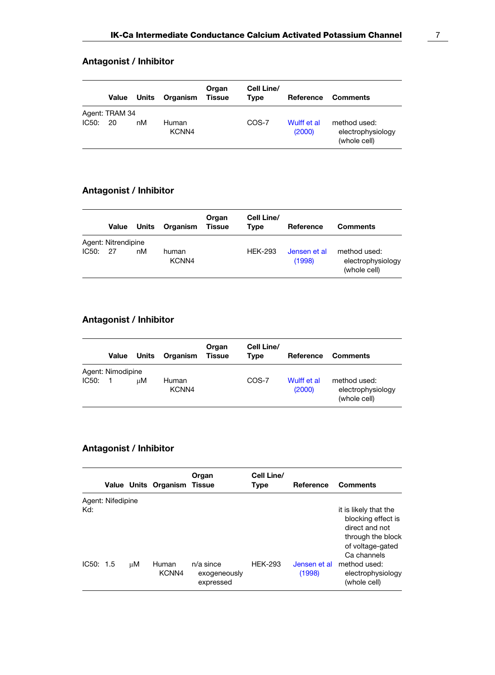## Antagonist / Inhibitor

|       | Value                | Units | Organism       | Organ<br>Tissue | Cell Line/<br>Type | Reference             | <b>Comments</b>                                   |
|-------|----------------------|-------|----------------|-----------------|--------------------|-----------------------|---------------------------------------------------|
| IC50: | Agent: TRAM 34<br>20 | nM    | Human<br>KCNN4 |                 | COS-7              | Wulff et al<br>(2000) | method used:<br>electrophysiology<br>(whole cell) |

## Antagonist / Inhibitor

|       | Value               | Units | Organism       | Organ<br>Tissue | Cell Line/<br>Type | Reference              | <b>Comments</b>                                   |
|-------|---------------------|-------|----------------|-----------------|--------------------|------------------------|---------------------------------------------------|
|       | Agent: Nitrendipine |       |                |                 |                    |                        |                                                   |
| IC50: | 27                  | nM    | human<br>KCNN4 |                 | <b>HEK-293</b>     | Jensen et al<br>(1998) | method used:<br>electrophysiology<br>(whole cell) |

## Antagonist / Inhibitor

|       | Value             | Units | Organism       | Organ<br><b>Tissue</b> | Cell Line/<br>Type | Reference             | <b>Comments</b>                                   |
|-------|-------------------|-------|----------------|------------------------|--------------------|-----------------------|---------------------------------------------------|
|       | Agent: Nimodipine |       |                |                        |                    |                       |                                                   |
| IC50: |                   | uМ    | Human<br>KCNN4 |                        | COS-7              | Wulff et al<br>(2000) | method used:<br>electrophysiology<br>(whole cell) |

## Antagonist / Inhibitor

|                  |                   |    | Value Units Organism Tissue | Organ                                    | Cell Line/<br>Type | Reference              | <b>Comments</b>                                                                                                                                                            |
|------------------|-------------------|----|-----------------------------|------------------------------------------|--------------------|------------------------|----------------------------------------------------------------------------------------------------------------------------------------------------------------------------|
| Kd:<br>IC50: 1.5 | Agent: Nifedipine | иM | Human<br>KCNN4              | $n/a$ since<br>exogeneously<br>expressed | <b>HEK-293</b>     | Jensen et al<br>(1998) | it is likely that the<br>blocking effect is<br>direct and not<br>through the block<br>of voltage-gated<br>Ca channels<br>method used:<br>electrophysiology<br>(whole cell) |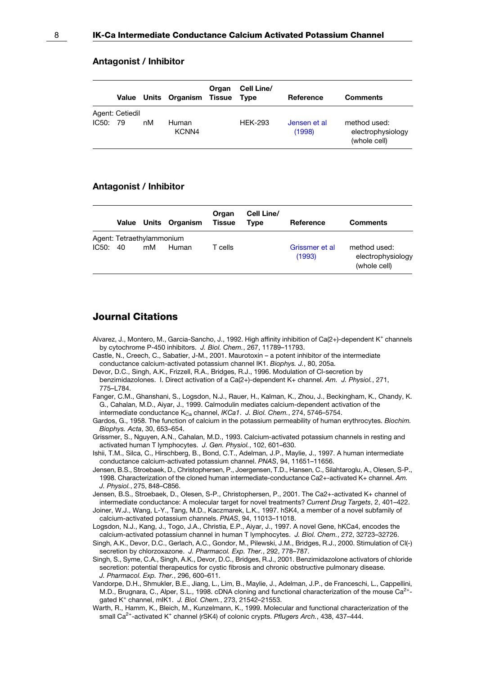#### Antagonist / Inhibitor

|          |                 |    | Value Units Organism Tissue | Organ | Cell Line/<br>Tvpe | Reference              | <b>Comments</b>                                   |
|----------|-----------------|----|-----------------------------|-------|--------------------|------------------------|---------------------------------------------------|
| IC50: 79 | Agent: Cetiedil | nM | Human<br>KCNN4              |       | <b>HEK-293</b>     | Jensen et al<br>(1998) | method used:<br>electrophysiology<br>(whole cell) |

#### Antagonist / Inhibitor

|       |                           |    | Value Units Organism | Organ<br><b>Tissue</b> | Cell Line/<br><b>Type</b> | Reference                | <b>Comments</b>                                   |
|-------|---------------------------|----|----------------------|------------------------|---------------------------|--------------------------|---------------------------------------------------|
|       | Agent: Tetraethylammonium |    |                      |                        |                           |                          |                                                   |
| IC50: | -40                       | mM | Human                | T cells                |                           | Grissmer et al<br>(1993) | method used:<br>electrophysiology<br>(whole cell) |

### Journal Citations

- Alvarez, J., Montero, M., Garcia-Sancho, J., 1992. High affinity inhibition of Ca(2+)-dependent K<sup>+</sup> channels by cytochrome P-450 inhibitors. J. Biol. Chem., 267, 11789–11793.
- Castle, N., Creech, C., Sabatier, J-M., 2001. Maurotoxin a potent inhibitor of the intermediate conductance calcium-activated potassium channel IK1. Biophys. J., 80, 205a.
- Devor, D.C., Singh, A.K., Frizzell, R.A., Bridges, R.J., 1996. Modulation of Cl-secretion by benzimidazolones. I. Direct activation of a Ca(2+)-dependent K+ channel. Am. J. Physiol., 271, 775–L784.
- Fanger, C.M., Ghanshani, S., Logsdon, N.J., Rauer, H., Kalman, K., Zhou, J., Beckingham, K., Chandy, K. G., Cahalan, M.D., Aiyar, J., 1999. Calmodulin mediates calcium-dependent activation of the intermediate conductance K<sub>Ca</sub> channel, IKCa1. J. Biol. Chem., 274, 5746-5754.
- Gardos, G., 1958. The function of calcium in the potassium permeability of human erythrocytes. Biochim. Biophys. Acta, 30, 653–654.
- Grissmer, S., Nguyen, A.N., Cahalan, M.D., 1993. Calcium-activated potassium channels in resting and activated human T lymphocytes. J. Gen. Physiol., 102, 601–630.
- Ishii, T.M., Silca, C., Hirschberg, B., Bond, C.T., Adelman, J.P., Maylie, J., 1997. A human intermediate conductance calcium-activated potassium channel. PNAS, 94, 11651–11656.
- Jensen, B.S., Stroebaek, D., Christophersen, P., Joergensen, T.D., Hansen, C., Silahtaroglu, A., Olesen, S-P., 1998. Characterization of the cloned human intermediate-conductance Ca2+-activated K+ channel. Am. J. Physiol., 275, 848–C856.
- Jensen, B.S., Stroebaek, D., Olesen, S-P., Christophersen, P., 2001. The Ca2+-activated K+ channel of intermediate conductance: A molecular target for novel treatments? Current Drug Targets, 2, 401–422.
- Joiner, W.J., Wang, L-Y., Tang, M.D., Kaczmarek, L.K., 1997. hSK4, a member of a novel subfamily of calcium-activated potassium channels. PNAS, 94, 11013–11018.
- Logsdon, N.J., Kang, J., Togo, J.A., Christia, E.P., Aiyar, J., 1997. A novel Gene, hKCa4, encodes the calcium-activated potassium channel in human T lymphocytes. J. Biol. Chem., 272, 32723–32726.
- Singh, A.K., Devor, D.C., Gerlach, A.C., Gondor, M., Pilewski, J.M., Bridges, R.J., 2000. Stimulation of Cl(-) secretion by chlorzoxazone. J. Pharmacol. Exp. Ther., 292, 778-787.
- Singh, S., Syme, C.A., Singh, A.K., Devor, D.C., Bridges, R.J., 2001. Benzimidazolone activators of chloride secretion: potential therapeutics for cystic fibrosis and chronic obstructive pulmonary disease. J. Pharmacol. Exp. Ther., 296, 600–611.
- Vandorpe, D.H., Shmukler, B.E., Jiang, L., Lim, B., Maylie, J., Adelman, J.P., de Franceschi, L., Cappellini, M.D., Brugnara, C., Alper, S.L., 1998. cDNA cloning and functional characterization of the mouse Ca<sup>2+</sup>gated K<sup>+</sup> channel, mIK1. J. Biol. Chem., 273, 21542–21553.
- Warth, R., Hamm, K., Bleich, M., Kunzelmann, K., 1999. Molecular and functional characterization of the small Ca<sup>2+</sup>-activated K<sup>+</sup> channel (rSK4) of colonic crypts. Pflugers Arch., 438, 437-444.

<span id="page-7-0"></span>